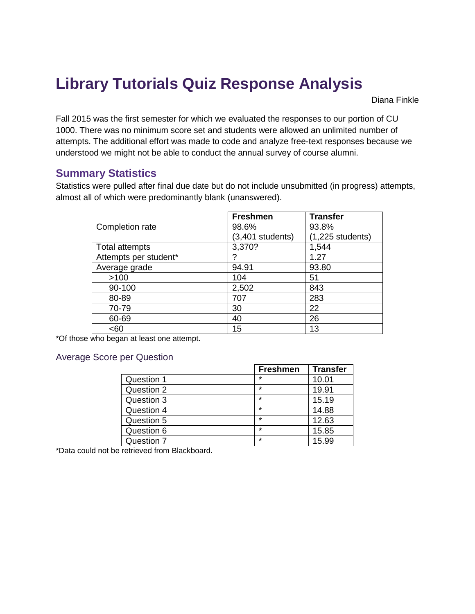# **Library Tutorials Quiz Response Analysis**

Diana Finkle

Fall 2015 was the first semester for which we evaluated the responses to our portion of CU 1000. There was no minimum score set and students were allowed an unlimited number of attempts. The additional effort was made to code and analyze free-text responses because we understood we might not be able to conduct the annual survey of course alumni.

### **Summary Statistics**

Statistics were pulled after final due date but do not include unsubmitted (in progress) attempts, almost all of which were predominantly blank (unanswered).

|                       | <b>Freshmen</b>  | <b>Transfer</b>    |
|-----------------------|------------------|--------------------|
| Completion rate       | 98.6%            | 93.8%              |
|                       | (3,401 students) | $(1,225$ students) |
| Total attempts        | 3,370?           | 1,544              |
| Attempts per student* |                  | 1.27               |
| Average grade         | 94.91            | 93.80              |
| >100                  | 104              | 51                 |
| 90-100                | 2,502            | 843                |
| 80-89                 | 707              | 283                |
| 70-79                 | 30               | 22                 |
| 60-69                 | 40               | 26                 |
| <60                   | 15               | 13                 |

\*Of those who began at least one attempt.

### Average Score per Question

|            | <b>Freshmen</b> | <b>Transfer</b> |
|------------|-----------------|-----------------|
| Question 1 | $\star$         | 10.01           |
| Question 2 | $\star$         | 19.91           |
| Question 3 | $\star$         | 15.19           |
| Question 4 | $\star$         | 14.88           |
| Question 5 | $\star$         | 12.63           |
| Question 6 | $\star$         | 15.85           |
| Question 7 | $\star$         | 15.99           |

\*Data could not be retrieved from Blackboard.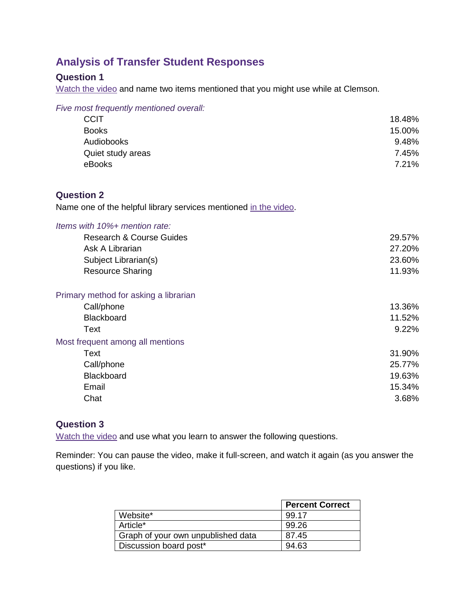# **Analysis of Transfer Student Responses**

# **Question 1**

[Watch the video](http://youtu.be/V28Bz_7J9nQ) and name two items mentioned that you might use while at Clemson.

| Five most frequently mentioned overall:                          |        |
|------------------------------------------------------------------|--------|
| <b>CCIT</b>                                                      | 18.48% |
| <b>Books</b>                                                     | 15.00% |
| Audiobooks                                                       | 9.48%  |
| Quiet study areas                                                | 7.45%  |
| eBooks                                                           | 7.21%  |
| <b>Question 2</b>                                                |        |
| Name one of the helpful library services mentioned in the video. |        |
| Items with 10%+ mention rate:                                    |        |
| <b>Research &amp; Course Guides</b>                              | 29.57% |
| Ask A Librarian                                                  | 27.20% |
| Subject Librarian(s)                                             | 23.60% |
| <b>Resource Sharing</b>                                          | 11.93% |
| Primary method for asking a librarian                            |        |
| Call/phone                                                       | 13.36% |
| Blackboard                                                       | 11.52% |
| <b>Text</b>                                                      | 9.22%  |
| Most frequent among all mentions                                 |        |
| Text                                                             | 31.90% |
| Call/phone                                                       | 25.77% |
| Blackboard                                                       | 19.63% |
| Email                                                            | 15.34% |
| Chat                                                             | 3.68%  |

### **Question 3**

[Watch the video](http://youtu.be/n0AGqxMlSfs) and use what you learn to answer the following questions.

Reminder: You can pause the video, make it full-screen, and watch it again (as you answer the questions) if you like.

|                                    | <b>Percent Correct</b> |
|------------------------------------|------------------------|
| Website*                           | 99.17                  |
| Article <sup>*</sup>               | 99.26                  |
| Graph of your own unpublished data | 87.45                  |
| Discussion board post*             | 94.63                  |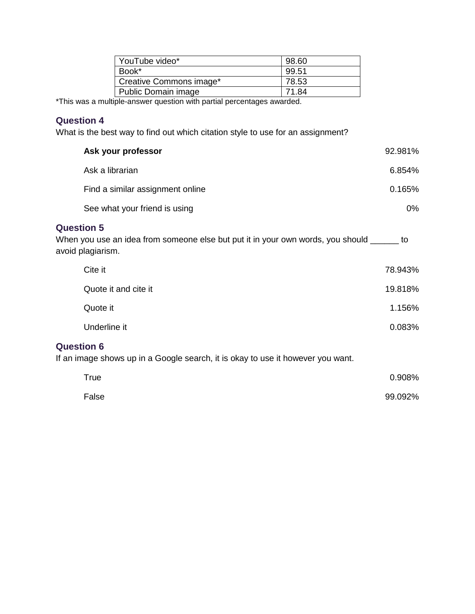| YouTube video*                                                    | 98.60 |
|-------------------------------------------------------------------|-------|
| Book*                                                             | 99.51 |
| Creative Commons image*                                           | 78.53 |
| Public Domain image                                               | 71.84 |
| المواجهون ومستحقق ومعموما والمستحد والمارين والممريح ومنتصف واوال |       |

\*This was a multiple-answer question with partial percentages awarded.

### **Question 4**

What is the best way to find out which citation style to use for an assignment?

| Ask your professor                                                                                                                  | 92.981% |
|-------------------------------------------------------------------------------------------------------------------------------------|---------|
| Ask a librarian                                                                                                                     | 6.854%  |
| Find a similar assignment online                                                                                                    | 0.165%  |
| See what your friend is using                                                                                                       | 0%      |
| <b>Question 5</b><br>When you use an idea from someone else but put it in your own words, you should ______ to<br>avoid plagiarism. |         |
| Cite it                                                                                                                             | 78.943% |
| Quote it and cite it                                                                                                                | 19.818% |
| Quote it                                                                                                                            | 1.156%  |
| Underline it                                                                                                                        | 0.083%  |
| <b>Question 6</b><br>If an image shows up in a Google search, it is okay to use it however you want.                                |         |
| <b>True</b>                                                                                                                         | 0.908%  |
| False                                                                                                                               | 99.092% |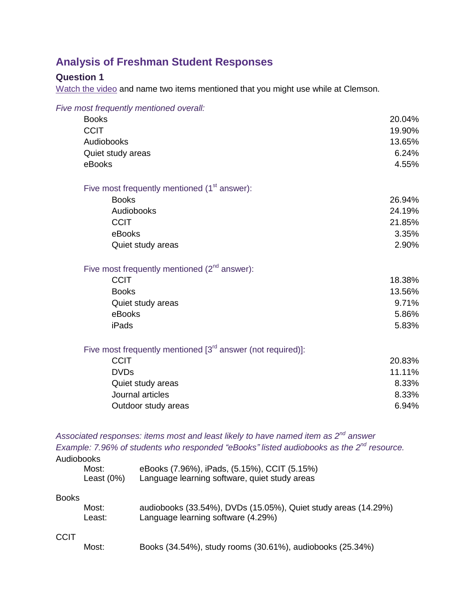# **Analysis of Freshman Student Responses**

### **Question 1**

[Watch the video](http://youtu.be/V28Bz_7J9nQ) and name two items mentioned that you might use while at Clemson.

| Five most frequently mentioned overall:                          |        |
|------------------------------------------------------------------|--------|
| <b>Books</b>                                                     | 20.04% |
| <b>CCIT</b>                                                      | 19.90% |
| Audiobooks                                                       | 13.65% |
| Quiet study areas                                                | 6.24%  |
| eBooks                                                           | 4.55%  |
| Five most frequently mentioned $(1st answer)$ :                  |        |
| <b>Books</b>                                                     | 26.94% |
| Audiobooks                                                       | 24.19% |
| <b>CCIT</b>                                                      | 21.85% |
| eBooks                                                           | 3.35%  |
| Quiet study areas                                                | 2.90%  |
| Five most frequently mentioned $(2^{nd}$ answer):                |        |
| <b>CCIT</b>                                                      | 18.38% |
| <b>Books</b>                                                     | 13.56% |
| Quiet study areas                                                | 9.71%  |
| eBooks                                                           | 5.86%  |
| iPads                                                            | 5.83%  |
| Five most frequently mentioned $[3^{rd}$ answer (not required)]: |        |
| <b>CCIT</b>                                                      | 20.83% |
| <b>DVDs</b>                                                      | 11.11% |
| Quiet study areas                                                | 8.33%  |
| Journal articles                                                 | 8.33%  |
| Outdoor study areas                                              | 6.94%  |
|                                                                  |        |

*Associated responses: items most and least likely to have named item as 2nd answer Example: 7.96% of students who responded "eBooks" listed audiobooks as the 2nd resource.*

Audiobooks

| Most:      | eBooks (7.96%), iPads, (5.15%), CCIT (5.15%)  |
|------------|-----------------------------------------------|
| Least (0%) | Language learning software, quiet study areas |

#### Books

| Most:  | audiobooks (33.54%), DVDs (15.05%), Quiet study areas (14.29%) |
|--------|----------------------------------------------------------------|
| Least: | Language learning software (4.29%)                             |

#### **CCIT**

| Most: | Books (34.54%), study rooms (30.61%), audiobooks (25.34%) |  |  |  |  |
|-------|-----------------------------------------------------------|--|--|--|--|
|-------|-----------------------------------------------------------|--|--|--|--|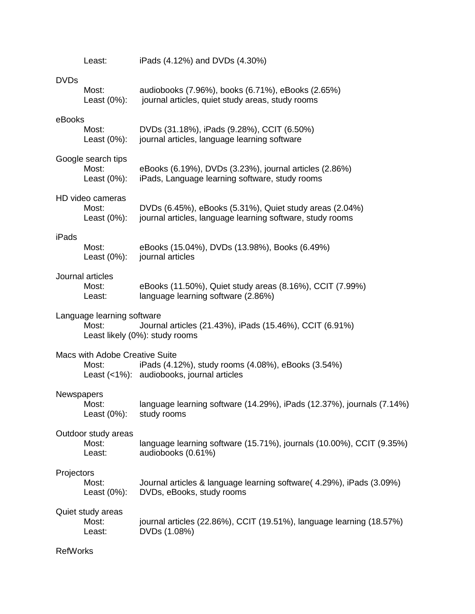|                   | Least:                                         | iPads (4.12%) and DVDs (4.30%)                                                                                       |
|-------------------|------------------------------------------------|----------------------------------------------------------------------------------------------------------------------|
| <b>DVDs</b>       | Most:<br>Least $(0\%)$ :                       | audiobooks (7.96%), books (6.71%), eBooks (2.65%)<br>journal articles, quiet study areas, study rooms                |
| eBooks            | Most:<br>Least $(0\%)$ :                       | DVDs (31.18%), iPads (9.28%), CCIT (6.50%)<br>journal articles, language learning software                           |
|                   | Google search tips<br>Most:<br>Least $(0\%)$ : | eBooks (6.19%), DVDs (3.23%), journal articles (2.86%)<br>iPads, Language learning software, study rooms             |
|                   | HD video cameras<br>Most:<br>Least $(0\%)$ :   | DVDs (6.45%), eBooks (5.31%), Quiet study areas (2.04%)<br>journal articles, language learning software, study rooms |
| iPads             | Most:<br>Least $(0\%)$ :                       | eBooks (15.04%), DVDs (13.98%), Books (6.49%)<br>journal articles                                                    |
|                   | Journal articles<br>Most:<br>Least:            | eBooks (11.50%), Quiet study areas (8.16%), CCIT (7.99%)<br>language learning software (2.86%)                       |
|                   | Language learning software<br>Most:            | Journal articles (21.43%), iPads (15.46%), CCIT (6.91%)<br>Least likely (0%): study rooms                            |
|                   | Macs with Adobe Creative Suite<br>Most:        | iPads (4.12%), study rooms (4.08%), eBooks (3.54%)<br>Least (<1%): audiobooks, journal articles                      |
| <b>Newspapers</b> | Most:<br>Least $(0\%)$ :                       | language learning software (14.29%), iPads (12.37%), journals (7.14%)<br>study rooms                                 |
|                   | Outdoor study areas<br>Most:<br>Least:         | language learning software (15.71%), journals (10.00%), CCIT (9.35%)<br>audiobooks (0.61%)                           |
| Projectors        | Most:<br>Least $(0\%)$ :                       | Journal articles & language learning software (4.29%), iPads (3.09%)<br>DVDs, eBooks, study rooms                    |
|                   | Quiet study areas<br>Most:<br>Least:           | journal articles (22.86%), CCIT (19.51%), language learning (18.57%)<br>DVDs (1.08%)                                 |
| <b>RefWorks</b>   |                                                |                                                                                                                      |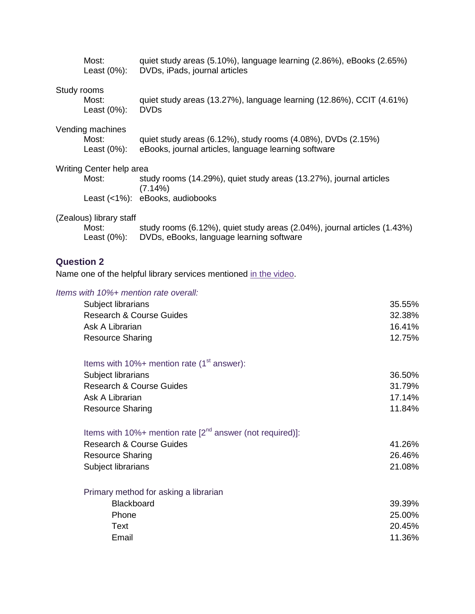|                   | Most:                                           | quiet study areas (5.10%), language learning (2.86%), eBooks (2.65%)<br>Least (0%): DVDs, iPads, journal articles    |
|-------------------|-------------------------------------------------|----------------------------------------------------------------------------------------------------------------------|
| Study rooms       | Most:<br>Least $(0\%)$ :                        | quiet study areas (13.27%), language learning (12.86%), CCIT (4.61%)<br><b>DVDs</b>                                  |
|                   | Vending machines<br>Most:<br>Least (0%):        | quiet study areas (6.12%), study rooms (4.08%), DVDs (2.15%)<br>eBooks, journal articles, language learning software |
|                   | Writing Center help area                        |                                                                                                                      |
|                   | Most:                                           | study rooms (14.29%), quiet study areas (13.27%), journal articles<br>(7.14%)                                        |
|                   |                                                 | Least (<1%): eBooks, audiobooks                                                                                      |
|                   | (Zealous) library staff<br>Most:<br>Least (0%): | study rooms (6.12%), quiet study areas (2.04%), journal articles (1.43%)<br>DVDs, eBooks, language learning software |
| <b>Question 2</b> |                                                 | Name one of the helpful library services mentioned in the video.                                                     |
|                   |                                                 | Items with 10%+ mention rate overall:                                                                                |

| Subject librarians                                             | 35.55% |
|----------------------------------------------------------------|--------|
| <b>Research &amp; Course Guides</b>                            | 32.38% |
| Ask A Librarian                                                | 16.41% |
| <b>Resource Sharing</b>                                        | 12.75% |
| Items with $10\%$ + mention rate (1 <sup>st</sup> answer):     |        |
| Subject librarians                                             | 36.50% |
| <b>Research &amp; Course Guides</b>                            | 31.79% |
| Ask A Librarian                                                | 17.14% |
| <b>Resource Sharing</b>                                        | 11.84% |
| Items with 10%+ mention rate $[2^{nd}$ answer (not required)]: |        |
| <b>Research &amp; Course Guides</b>                            | 41.26% |
| <b>Resource Sharing</b>                                        | 26.46% |
| Subject librarians                                             | 21.08% |
| Primary method for asking a librarian                          |        |
| Blackboard                                                     | 39.39% |
| Phone                                                          | 25.00% |
| Text                                                           | 20.45% |
| Email                                                          | 11.36% |
|                                                                |        |